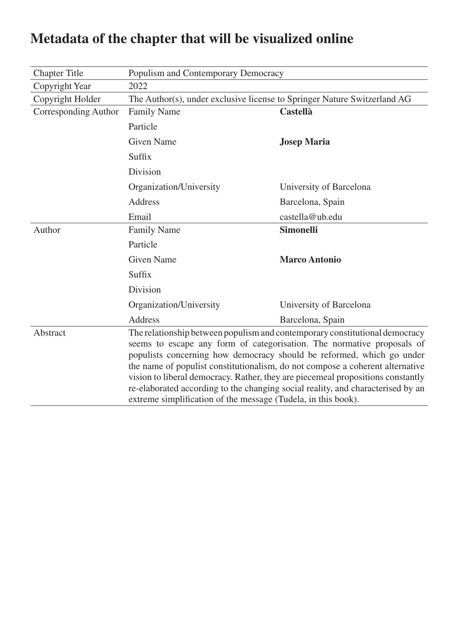| <b>Chapter Title</b> | Populism and Contemporary Democracy                                                                                                                                                                                                                                                                                                                                                                                                                                                                                                                    |                         |  |
|----------------------|--------------------------------------------------------------------------------------------------------------------------------------------------------------------------------------------------------------------------------------------------------------------------------------------------------------------------------------------------------------------------------------------------------------------------------------------------------------------------------------------------------------------------------------------------------|-------------------------|--|
| Copyright Year       | 2022                                                                                                                                                                                                                                                                                                                                                                                                                                                                                                                                                   |                         |  |
| Copyright Holder     | The Author(s), under exclusive license to Springer Nature Switzerland AG                                                                                                                                                                                                                                                                                                                                                                                                                                                                               |                         |  |
| Corresponding Author | <b>Family Name</b>                                                                                                                                                                                                                                                                                                                                                                                                                                                                                                                                     | <b>Castellà</b>         |  |
|                      | Particle                                                                                                                                                                                                                                                                                                                                                                                                                                                                                                                                               |                         |  |
|                      | <b>Given Name</b>                                                                                                                                                                                                                                                                                                                                                                                                                                                                                                                                      | <b>Josep Maria</b>      |  |
|                      | Suffix                                                                                                                                                                                                                                                                                                                                                                                                                                                                                                                                                 |                         |  |
|                      | Division                                                                                                                                                                                                                                                                                                                                                                                                                                                                                                                                               |                         |  |
|                      | Organization/University                                                                                                                                                                                                                                                                                                                                                                                                                                                                                                                                | University of Barcelona |  |
|                      | <b>Address</b>                                                                                                                                                                                                                                                                                                                                                                                                                                                                                                                                         | Barcelona, Spain        |  |
|                      | Email                                                                                                                                                                                                                                                                                                                                                                                                                                                                                                                                                  | castella@ub.edu         |  |
| Author               | <b>Family Name</b>                                                                                                                                                                                                                                                                                                                                                                                                                                                                                                                                     | <b>Simonelli</b>        |  |
|                      | Particle                                                                                                                                                                                                                                                                                                                                                                                                                                                                                                                                               |                         |  |
|                      | <b>Given Name</b>                                                                                                                                                                                                                                                                                                                                                                                                                                                                                                                                      | <b>Marco Antonio</b>    |  |
|                      | Suffix                                                                                                                                                                                                                                                                                                                                                                                                                                                                                                                                                 |                         |  |
|                      | Division                                                                                                                                                                                                                                                                                                                                                                                                                                                                                                                                               |                         |  |
|                      | Organization/University                                                                                                                                                                                                                                                                                                                                                                                                                                                                                                                                | University of Barcelona |  |
|                      | Address                                                                                                                                                                                                                                                                                                                                                                                                                                                                                                                                                | Barcelona, Spain        |  |
| Abstract             | The relationship between populism and contemporary constitutional democracy<br>seems to escape any form of categorisation. The normative proposals of<br>populists concerning how democracy should be reformed, which go under<br>the name of populist constitutionalism, do not compose a coherent alternative<br>vision to liberal democracy. Rather, they are piecemeal propositions constantly<br>re-elaborated according to the changing social reality, and characterised by an<br>extreme simplification of the message (Tudela, in this book). |                         |  |

# **Metadata of the chapter that will be visualized online**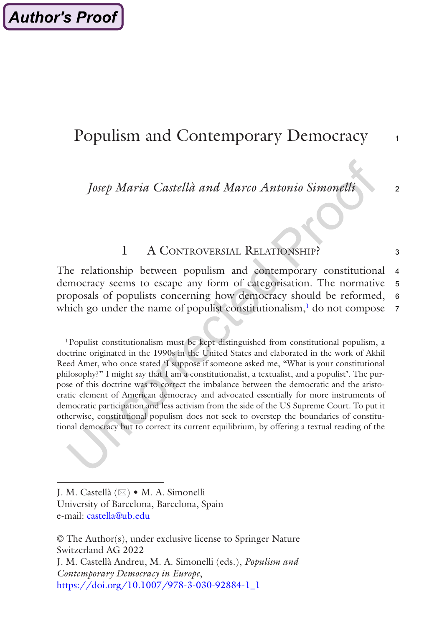## Populism and Contemporary Democracy

*Josep Maria Castellà and Marco Antonio Simonelli*

## 1 A CONTROVERSIAL RELATIONSHIP?

The relationship between populism and contemporary constitutional democracy seems to escape any form of categorisation. The normative proposals of populists concerning how democracy should be reformed, which go under the name of populist constitutionalism, $<sup>1</sup>$  do not compose</sup> 4 5 6 7

1Populist constitutionalism must be kept distinguished from constitutional populism, a doctrine originated in the 1990s in the United States and elaborated in the work of Akhil Reed Amer, who once stated 'I suppose if someone asked me, "What is your constitutional philosophy?" I might say that I am a constitutionalist, a textualist, and a populist'. The purpose of this doctrine was to correct the imbalance between the democratic and the aristocratic element of American democracy and advocated essentially for more instruments of democratic participation and less activism from the side of the US Supreme Court. To put it otherwise, constitutional populism does not seek to overstep the boundaries of constitutional democracy but to correct its current equilibrium, by offering a textual reading of the

© The Author(s), under exclusive license to Springer Nature Switzerland AG 2022 J. M. Castellà Andreu, M. A. Simonelli (eds.), *Populism and Contemporary Democracy in Europe*, [https://doi.org/10.1007/978-3-030-92884-1\\_1](https://doi.org/10.1007/978-3-030-92884-1_1#DOI)

2

3

1

J. M. Castellà (⊠) • M. A. Simonelli University of Barcelona, Barcelona, Spain e-mail: [castella@ub.edu](mailto:castella@ub.edu)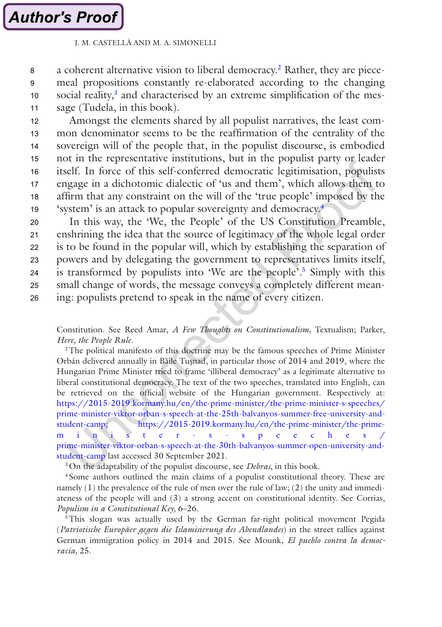## **Author's Proof**

#### J. M. CASTELLÀ AND M. A. SIMONELLI

a coherent alternative vision to liberal democracy.2 Rather, they are piecemeal propositions constantly re-elaborated according to the changing social reality,<sup>3</sup> and characterised by an extreme simplification of the message (Tudela, in this book). 8 9 10 11

Amongst the elements shared by all populist narratives, the least common denominator seems to be the reaffirmation of the centrality of the sovereign will of the people that, in the populist discourse, is embodied not in the representative institutions, but in the populist party or leader itself. In force of this self-conferred democratic legitimisation, populists engage in a dichotomic dialectic of 'us and them', which allows them to affirm that any constraint on the will of the 'true people' imposed by the 'system' is an attack to popular sovereignty and democracy.4 12 13 14 15 16 17 18 19

In this way, the 'We, the People' of the US Constitution Preamble, enshrining the idea that the source of legitimacy of the whole legal order is to be found in the popular will, which by establishing the separation of powers and by delegating the government to representatives limits itself, is transformed by populists into 'We are the people'.<sup>5</sup> Simply with this small change of words, the message conveys a completely different meaning: populists pretend to speak in the name of every citizen. 20 21 22 23  $24$ 25 26

Constitution. See Reed Amar, *A Few Thoughts on Constitutionalism,* Textualism; Parker, *Here, the People Rule*.

2The political manifesto of this doctrine may be the famous speeches of Prime Minister Orbán delivered annually in Băile Tusnad, in particular those of 2014 and 2019, where the Hungarian Prime Minister tried to frame 'illiberal democracy' as a legitimate alternative to liberal constitutional democracy. The text of the two speeches, translated into English, can be retrieved on the official website of the Hungarian government. Respectively at: [https://2015-2019.kormany.hu/en/the-prime-minister/the-prime-minister-s-speeches/](https://2015-2019.kormany.hu/en/the-prime-minister/the-prime-minister-s-speeches/prime-minister-viktor-orban-s-speech-at-the-25th-balvanyos-summer-free-university-and-student-camp) [prime-minister-viktor-orban-s-speech-at-the-25th-balvanyos-summer-free-university-and](https://2015-2019.kormany.hu/en/the-prime-minister/the-prime-minister-s-speeches/prime-minister-viktor-orban-s-speech-at-the-25th-balvanyos-summer-free-university-and-student-camp)[student-camp](https://2015-2019.kormany.hu/en/the-prime-minister/the-prime-minister-s-speeches/prime-minister-viktor-orban-s-speech-at-the-25th-balvanyos-summer-free-university-and-student-camp); [https://2015-2019.kormany.hu/en/the-prime-minister/the-prime](https://2015-2019.kormany.hu/en/the-prime-minister/the-prime-minister-s-speeches/prime-minister-viktor-orban-s-speech-at-the-30th-balvanyos-summer-open-university-and-student-camp)minister- [s-speeches/](https://2015-2019.kormany.hu/en/the-prime-minister/the-prime-minister-s-speeches/prime-minister-viktor-orban-s-speech-at-the-30th-balvanyos-summer-open-university-and-student-camp) [prime-minister-viktor-orban-s-speech-at-the-30th-balvanyos-summer-open-university-and](https://2015-2019.kormany.hu/en/the-prime-minister/the-prime-minister-s-speeches/prime-minister-viktor-orban-s-speech-at-the-30th-balvanyos-summer-open-university-and-student-camp)[student-camp](https://2015-2019.kormany.hu/en/the-prime-minister/the-prime-minister-s-speeches/prime-minister-viktor-orban-s-speech-at-the-30th-balvanyos-summer-open-university-and-student-camp) last accessed 30 September 2021.

3On the adaptability of the populist discourse, see *Debras*, in this book.

<sup>4</sup> Some authors outlined the main claims of a populist constitutional theory. These are namely (1) the prevalence of the rule of men over the rule of law; (2) the unity and immediateness of the people will and (3) a strong accent on constitutional identity. See Corrias, *Populism in a Constitutional Key,* 6–26.

<sup>5</sup>This slogan was actually used by the German far-right political movement Pegida (*Patriotische Europäer gegen die Islamisierung des Abendlandes*) in the street rallies against German immigration policy in 2014 and 2015. See Mounk, *El pueblo contra la democracia,* 25.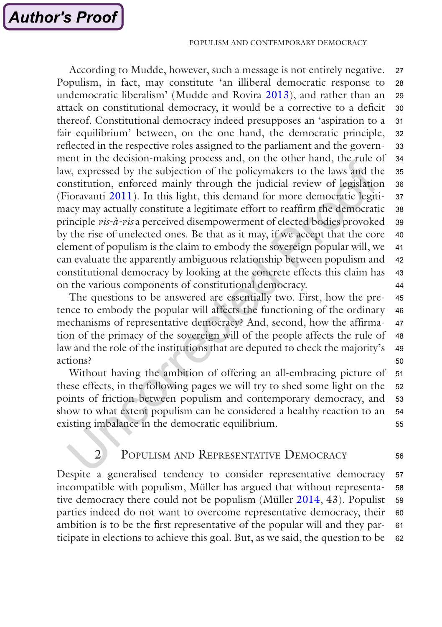According to Mudde, however, such a message is not entirely negative. Populism, in fact, may constitute 'an illiberal democratic response to undemocratic liberalism' (Mudde and Rovira [2013\)](#page-21-0), and rather than an attack on constitutional democracy, it would be a corrective to a deficit thereof. Constitutional democracy indeed presupposes an 'aspiration to a fair equilibrium' between, on the one hand, the democratic principle, reflected in the respective roles assigned to the parliament and the government in the decision-making process and, on the other hand, the rule of law, expressed by the subjection of the policymakers to the laws and the constitution, enforced mainly through the judicial review of legislation (Fioravanti [2011](#page-20-0)). In this light, this demand for more democratic legitimacy may actually constitute a legitimate effort to reaffirm the democratic principle *vis-à-vis* a perceived disempowerment of elected bodies provoked by the rise of unelected ones. Be that as it may, if we accept that the core element of populism is the claim to embody the sovereign popular will, we can evaluate the apparently ambiguous relationship between populism and constitutional democracy by looking at the concrete effects this claim has on the various components of constitutional democracy. 27 28 29 30 31 32 33 34 35 36 37 38 39 40 41 42 43 44

The questions to be answered are essentially two. First, how the pretence to embody the popular will affects the functioning of the ordinary mechanisms of representative democracy? And, second, how the affirmation of the primacy of the sovereign will of the people affects the rule of law and the role of the institutions that are deputed to check the majority's actions? 45 46 47 48 49 50

Without having the ambition of offering an all-embracing picture of these effects, in the following pages we will try to shed some light on the points of friction between populism and contemporary democracy, and show to what extent populism can be considered a healthy reaction to an existing imbalance in the democratic equilibrium. 51 52 53 54 55

## 2 POPULISM AND REPRESENTATIVE DEMOCRACY

56

Despite a generalised tendency to consider representative democracy incompatible with populism, Müller has argued that without representative democracy there could not be populism (Müller [2014](#page-21-0), 43). Populist parties indeed do not want to overcome representative democracy, their ambition is to be the first representative of the popular will and they participate in elections to achieve this goal. But, as we said, the question to be 57 58 59 60 61 62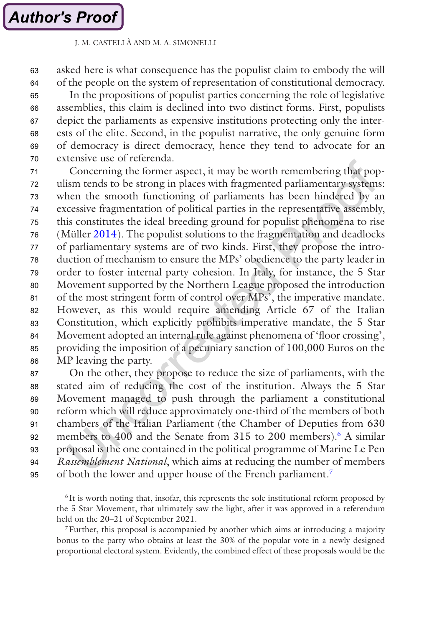asked here is what consequence has the populist claim to embody the will of the people on the system of representation of constitutional democracy. 63 64

In the propositions of populist parties concerning the role of legislative assemblies, this claim is declined into two distinct forms. First, populists depict the parliaments as expensive institutions protecting only the interests of the elite. Second, in the populist narrative, the only genuine form of democracy is direct democracy, hence they tend to advocate for an extensive use of referenda. 65 66 67 68 69 70

Concerning the former aspect, it may be worth remembering that populism tends to be strong in places with fragmented parliamentary systems: when the smooth functioning of parliaments has been hindered by an excessive fragmentation of political parties in the representative assembly, this constitutes the ideal breeding ground for populist phenomena to rise (Müller [2014](#page-21-0)). The populist solutions to the fragmentation and deadlocks of parliamentary systems are of two kinds. First, they propose the introduction of mechanism to ensure the MPs' obedience to the party leader in order to foster internal party cohesion. In Italy, for instance, the 5 Star Movement supported by the Northern League proposed the introduction of the most stringent form of control over MPs', the imperative mandate. However, as this would require amending Article 67 of the Italian Constitution, which explicitly prohibits imperative mandate, the 5 Star Movement adopted an internal rule against phenomena of 'floor crossing', providing the imposition of a pecuniary sanction of 100,000 Euros on the MP leaving the party. 71 72 73 74 75 76 77 78 79 80 81 82 83 84 85 86

On the other, they propose to reduce the size of parliaments, with the stated aim of reducing the cost of the institution. Always the 5 Star Movement managed to push through the parliament a constitutional reform which will reduce approximately one-third of the members of both chambers of the Italian Parliament (the Chamber of Deputies from 630 members to 400 and the Senate from 315 to 200 members).<sup>6</sup> A similar proposal is the one contained in the political programme of Marine Le Pen *Rassemblement National*, which aims at reducing the number of members of both the lower and upper house of the French parliament.7 87 88 89 90 91 92 93 94 95

7Further, this proposal is accompanied by another which aims at introducing a majority bonus to the party who obtains at least the 30% of the popular vote in a newly designed proportional electoral system. Evidently, the combined effect of these proposals would be the

<sup>6</sup> It is worth noting that, insofar, this represents the sole institutional reform proposed by the 5 Star Movement, that ultimately saw the light, after it was approved in a referendum held on the 20–21 of September 2021.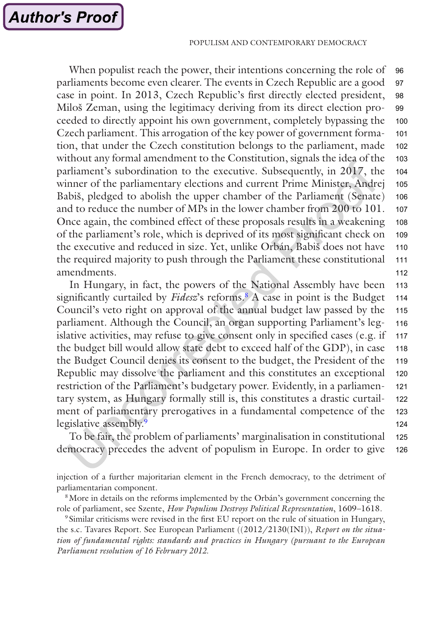When populist reach the power, their intentions concerning the role of parliaments become even clearer. The events in Czech Republic are a good case in point. In 2013, Czech Republic's first directly elected president, Miloš Zeman, using the legitimacy deriving from its direct election proceeded to directly appoint his own government, completely bypassing the Czech parliament. This arrogation of the key power of government formation, that under the Czech constitution belongs to the parliament, made without any formal amendment to the Constitution, signals the idea of the parliament's subordination to the executive. Subsequently, in 2017, the winner of the parliamentary elections and current Prime Minister, Andrej Babiš, pledged to abolish the upper chamber of the Parliament (Senate) and to reduce the number of MPs in the lower chamber from 200 to 101. Once again, the combined effect of these proposals results in a weakening of the parliament's role, which is deprived of its most significant check on the executive and reduced in size. Yet, unlike Orbán, Babiš does not have the required majority to push through the Parliament these constitutional amendments. 96 97 98 99 100 101 102 103 104 105 106 107 108 109 110 111 112

In Hungary, in fact, the powers of the National Assembly have been significantly curtailed by *Fidesz*'s reforms.8 A case in point is the Budget Council's veto right on approval of the annual budget law passed by the parliament. Although the Council, an organ supporting Parliament's legislative activities, may refuse to give consent only in specified cases (e.g. if the budget bill would allow state debt to exceed half of the GDP), in case the Budget Council denies its consent to the budget, the President of the Republic may dissolve the parliament and this constitutes an exceptional restriction of the Parliament's budgetary power. Evidently, in a parliamentary system, as Hungary formally still is, this constitutes a drastic curtailment of parliamentary prerogatives in a fundamental competence of the legislative assembly.<sup>9</sup> 113 114 115 116 117 118 119 120 121 122 123 124

To be fair, the problem of parliaments' marginalisation in constitutional democracy precedes the advent of populism in Europe. In order to give 125 126

injection of a further majoritarian element in the French democracy, to the detriment of parliamentarian component.

<sup>8</sup>More in details on the reforms implemented by the Orbán's government concerning the role of parliament, see Szente, *How Populism Destroys Political Representation*, 1609–1618.

<sup>9</sup> Similar criticisms were revised in the first EU report on the rule of situation in Hungary, the s.c. Tavares Report. See European Parliament ((2012/2130(INI)), *Report on the situation of fundamental rights: standards and practices in Hungary (pursuant to the European Parliament resolution of 16 February 2012*.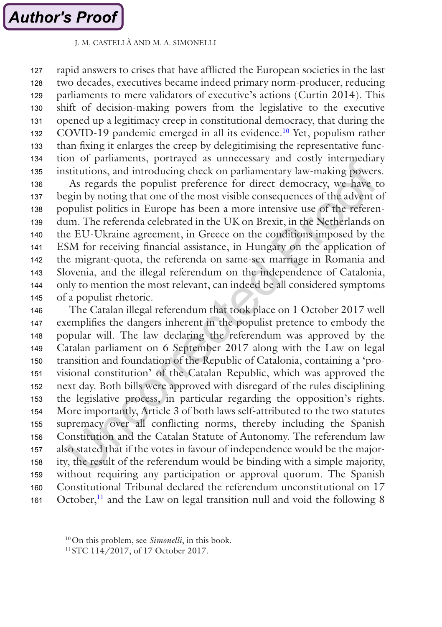rapid answers to crises that have afflicted the European societies in the last two decades, executives became indeed primary norm-producer, reducing parliaments to mere validators of executive's actions (Curtin 2014). This shift of decision-making powers from the legislative to the executive opened up a legitimacy creep in constitutional democracy, that during the COVID-19 pandemic emerged in all its evidence.<sup>10</sup> Yet, populism rather than fixing it enlarges the creep by delegitimising the representative function of parliaments, portrayed as unnecessary and costly intermediary institutions, and introducing check on parliamentary law-making powers. 127 128 129 130 131 132 133 134 135

As regards the populist preference for direct democracy, we have to begin by noting that one of the most visible consequences of the advent of populist politics in Europe has been a more intensive use of the referendum. The referenda celebrated in the UK on Brexit, in the Netherlands on the EU-Ukraine agreement, in Greece on the conditions imposed by the ESM for receiving financial assistance, in Hungary on the application of the migrant-quota, the referenda on same-sex marriage in Romania and Slovenia, and the illegal referendum on the independence of Catalonia, only to mention the most relevant, can indeed be all considered symptoms of a populist rhetoric. 136 137 138 139 140 141 142 143 144 145

The Catalan illegal referendum that took place on 1 October 2017 well exemplifies the dangers inherent in the populist pretence to embody the popular will. The law declaring the referendum was approved by the Catalan parliament on 6 September 2017 along with the Law on legal transition and foundation of the Republic of Catalonia, containing a 'provisional constitution' of the Catalan Republic, which was approved the next day. Both bills were approved with disregard of the rules disciplining the legislative process, in particular regarding the opposition's rights. More importantly, Article 3 of both laws self-attributed to the two statutes supremacy over all conflicting norms, thereby including the Spanish Constitution and the Catalan Statute of Autonomy. The referendum law also stated that if the votes in favour of independence would be the majority, the result of the referendum would be binding with a simple majority, without requiring any participation or approval quorum. The Spanish Constitutional Tribunal declared the referendum unconstitutional on 17 October, $^{11}$  and the Law on legal transition null and void the following 8 146 147 148 149 150 151 152 153 154 155 156 157 158 159 160 161

<sup>10</sup>On this problem, see *Simonelli*, in this book.

<sup>&</sup>lt;sup>11</sup> STC 114/2017, of 17 October 2017.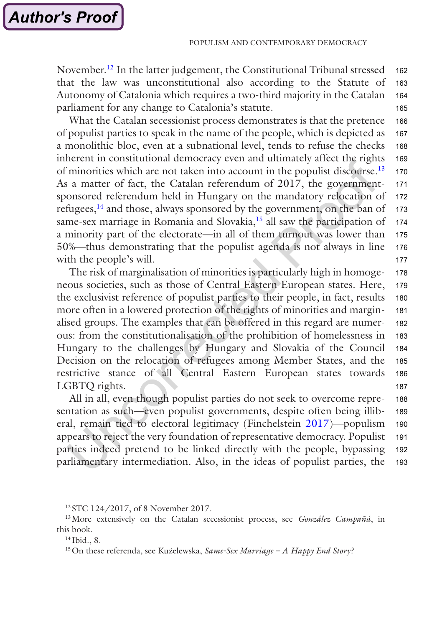November.12 In the latter judgement, the Constitutional Tribunal stressed that the law was unconstitutional also according to the Statute of Autonomy of Catalonia which requires a two-third majority in the Catalan parliament for any change to Catalonia's statute. 162 163 164 165

What the Catalan secessionist process demonstrates is that the pretence of populist parties to speak in the name of the people, which is depicted as a monolithic bloc, even at a subnational level, tends to refuse the checks inherent in constitutional democracy even and ultimately affect the rights of minorities which are not taken into account in the populist discourse.<sup>13</sup> As a matter of fact, the Catalan referendum of 2017, the governmentsponsored referendum held in Hungary on the mandatory relocation of refugees,14 and those, always sponsored by the government, on the ban of same-sex marriage in Romania and Slovakia,<sup>15</sup> all saw the participation of a minority part of the electorate—in all of them turnout was lower than 50%—thus demonstrating that the populist agenda is not always in line with the people's will. 166 167 168 169 170 171 172 173 174 175 176 177

The risk of marginalisation of minorities is particularly high in homogeneous societies, such as those of Central Eastern European states. Here, the exclusivist reference of populist parties to their people, in fact, results more often in a lowered protection of the rights of minorities and marginalised groups. The examples that can be offered in this regard are numerous: from the constitutionalisation of the prohibition of homelessness in Hungary to the challenges by Hungary and Slovakia of the Council Decision on the relocation of refugees among Member States, and the restrictive stance of all Central Eastern European states towards LGBTQ rights. 178 179 180 181 182 183 184 185 186 187

All in all, even though populist parties do not seek to overcome representation as such—even populist governments, despite often being illiberal, remain tied to electoral legitimacy (Finchelstein [2017\)](#page-20-0)—populism appears to reject the very foundation of representative democracy. Populist parties indeed pretend to be linked directly with the people, bypassing parliamentary intermediation. Also, in the ideas of populist parties, the 188 189 190 191 192 193

**Author's Proof** 

<sup>&</sup>lt;sup>12</sup> STC 124/2017, of 8 November 2017.

<sup>13</sup>More extensively on the Catalan secessionist process, see *González Campañá*, in this book.

<sup>14</sup> Ibid., 8.

<sup>15</sup>On these referenda, see Kuzelewska, ̇ *Same-Sex Marriage – A Happy End Story?*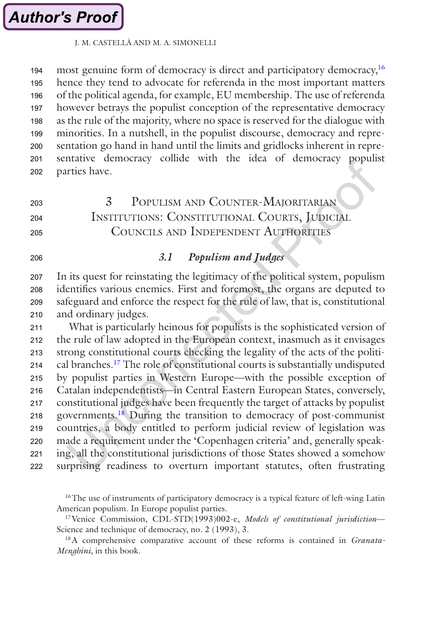most genuine form of democracy is direct and participatory democracy,<sup>16</sup> hence they tend to advocate for referenda in the most important matters of the political agenda, for example, EU membership. The use of referenda however betrays the populist conception of the representative democracy as the rule of the majority, where no space is reserved for the dialogue with minorities. In a nutshell, in the populist discourse, democracy and representation go hand in hand until the limits and gridlocks inherent in representative democracy collide with the idea of democracy populist parties have. 194 195 196 197 198 199 200 201 202

#### 3 Populism and Counter-Majoritarian Institutions: Constitutional Courts, Judicial Councils and Independent Authorities 203  $204$ 205

206

## *3.1 Populism and Judges*

In its quest for reinstating the legitimacy of the political system, populism identifies various enemies. First and foremost, the organs are deputed to safeguard and enforce the respect for the rule of law, that is, constitutional and ordinary judges. 207 208 209 210

What is particularly heinous for populists is the sophisticated version of the rule of law adopted in the European context, inasmuch as it envisages strong constitutional courts checking the legality of the acts of the political branches.17 The role of constitutional courts is substantially undisputed by populist parties in Western Europe—with the possible exception of Catalan independentists—in Central Eastern European States, conversely, constitutional judges have been frequently the target of attacks by populist governments.18 During the transition to democracy of post-communist countries, a body entitled to perform judicial review of legislation was made a requirement under the 'Copenhagen criteria' and, generally speaking, all the constitutional jurisdictions of those States showed a somehow surprising readiness to overturn important statutes, often frustrating 211 212 213 214 215 216 217 218 219 220 221 222

<sup>16</sup>The use of instruments of participatory democracy is a typical feature of left-wing Latin American populism. In Europe populist parties.

17Venice Commission, CDL-STD(1993)002-e, *Models of constitutional jurisdiction*— Science and technique of democracy, no. 2 (1993), 3.

18A comprehensive comparative account of these reforms is contained in *Granata-Menghini*, in this book.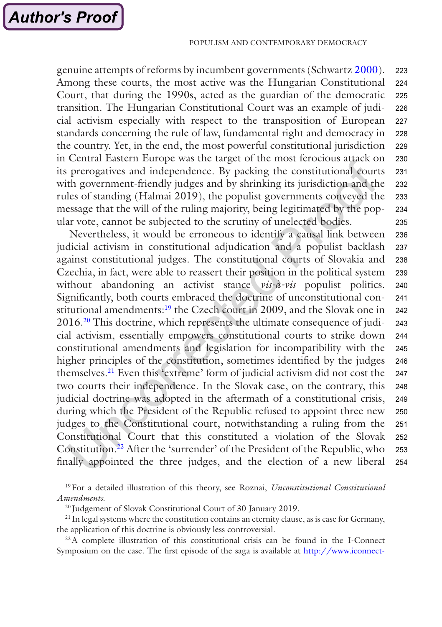genuine attempts of reforms by incumbent governments (Schwartz [2000](#page-21-0)). Among these courts, the most active was the Hungarian Constitutional Court, that during the 1990s, acted as the guardian of the democratic transition. The Hungarian Constitutional Court was an example of judicial activism especially with respect to the transposition of European standards concerning the rule of law, fundamental right and democracy in the country. Yet, in the end, the most powerful constitutional jurisdiction in Central Eastern Europe was the target of the most ferocious attack on its prerogatives and independence. By packing the constitutional courts with government-friendly judges and by shrinking its jurisdiction and the rules of standing (Halmai 2019), the populist governments conveyed the message that the will of the ruling majority, being legitimated by the popular vote, cannot be subjected to the scrutiny of unelected bodies. 223 224 225 226 227 228 229 230 231 232 233 234 235

Nevertheless, it would be erroneous to identify a causal link between judicial activism in constitutional adjudication and a populist backlash against constitutional judges. The constitutional courts of Slovakia and Czechia, in fact, were able to reassert their position in the political system without abandoning an activist stance *vis-à-vis* populist politics. Significantly, both courts embraced the doctrine of unconstitutional constitutional amendments:<sup>19</sup> the Czech court in 2009, and the Slovak one in 2016.20 This doctrine, which represents the ultimate consequence of judicial activism, essentially empowers constitutional courts to strike down constitutional amendments and legislation for incompatibility with the higher principles of the constitution, sometimes identified by the judges themselves.21 Even this 'extreme' form of judicial activism did not cost the two courts their independence. In the Slovak case, on the contrary, this judicial doctrine was adopted in the aftermath of a constitutional crisis, during which the President of the Republic refused to appoint three new judges to the Constitutional court, notwithstanding a ruling from the Constitutional Court that this constituted a violation of the Slovak Constitution.22 After the 'surrender' of the President of the Republic, who finally appointed the three judges, and the election of a new liberal 236 237 238 239 240 241 242 243 244 245 246 247 248 249 250 251 252 253 254

19For a detailed illustration of this theory, see Roznai, *Unconstitutional Constitutional Amendments.*

<sup>20</sup> Judgement of Slovak Constitutional Court of 30 January 2019.

<sup>21</sup> In legal systems where the constitution contains an eternity clause, as is case for Germany, the application of this doctrine is obviously less controversial.

22A complete illustration of this constitutional crisis can be found in the I-Connect Symposium on the case. The first episode of the saga is available at [http://www.iconnect-](http://www.iconnectblog.com/2018/01/symposium-slovak-appointments-case-introduction/)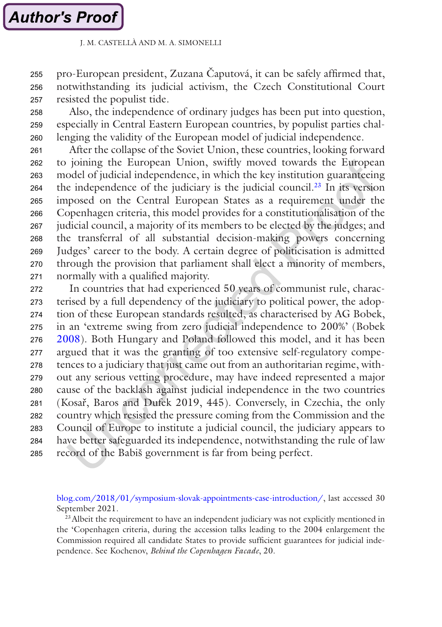pro-European president, Zuzana Čaputová, it can be safely affirmed that, notwithstanding its judicial activism, the Czech Constitutional Court resisted the populist tide. 255 256 257

Also, the independence of ordinary judges has been put into question, especially in Central Eastern European countries, by populist parties challenging the validity of the European model of judicial independence. 258 259 260

After the collapse of the Soviet Union, these countries, looking forward to joining the European Union, swiftly moved towards the European model of judicial independence, in which the key institution guaranteeing the independence of the judiciary is the judicial council.<sup>23</sup> In its version imposed on the Central European States as a requirement under the Copenhagen criteria, this model provides for a constitutionalisation of the judicial council, a majority of its members to be elected by the judges; and the transferral of all substantial decision-making powers concerning Judges' career to the body. A certain degree of politicisation is admitted through the provision that parliament shall elect a minority of members, normally with a qualified majority. 261 262 263 264 265 266 267 268 269 270 271

In countries that had experienced 50 years of communist rule, characterised by a full dependency of the judiciary to political power, the adoption of these European standards resulted, as characterised by AG Bobek, in an 'extreme swing from zero judicial independence to 200%' (Bobek [2008](#page-20-0)). Both Hungary and Poland followed this model, and it has been argued that it was the granting of too extensive self-regulatory competences to a judiciary that just came out from an authoritarian regime, without any serious vetting procedure, may have indeed represented a major cause of the backlash against judicial independence in the two countries (Kosař, Baros and Dufek 2019, 445). Conversely, in Czechia, the only country which resisted the pressure coming from the Commission and the Council of Europe to institute a judicial council, the judiciary appears to have better safeguarded its independence, notwithstanding the rule of law record of the Babiš government is far from being perfect. 272 273 274 275 276 277 278 279 280 281 282 283 284 285

[blog.com/2018/01/symposium-slovak-appointments-case-introduction/,](http://www.iconnectblog.com/2018/01/symposium-slovak-appointments-case-introduction/) last accessed 30 September 2021.

<sup>23</sup> Albeit the requirement to have an independent judiciary was not explicitly mentioned in the 'Copenhagen criteria, during the accession talks leading to the 2004 enlargement the Commission required all candidate States to provide sufficient guarantees for judicial independence. See Kochenov, *Behind the Copenhagen Facade*, 20.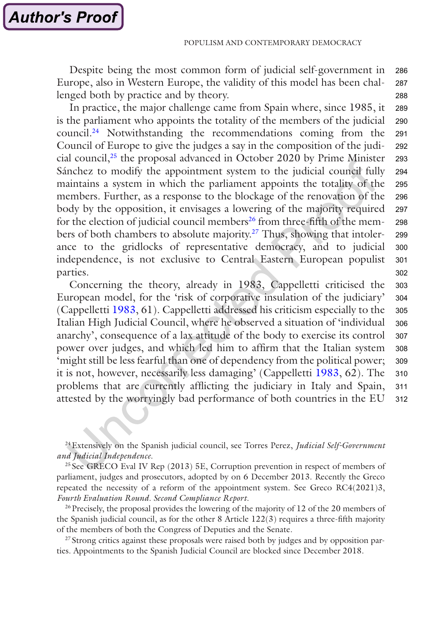Despite being the most common form of judicial self-government in Europe, also in Western Europe, the validity of this model has been challenged both by practice and by theory. 286 287 288

In practice, the major challenge came from Spain where, since 1985, it is the parliament who appoints the totality of the members of the judicial council.24 Notwithstanding the recommendations coming from the Council of Europe to give the judges a say in the composition of the judicial council,25 the proposal advanced in October 2020 by Prime Minister Sánchez to modify the appointment system to the judicial council fully maintains a system in which the parliament appoints the totality of the members. Further, as a response to the blockage of the renovation of the body by the opposition, it envisages a lowering of the majority required for the election of judicial council members<sup>26</sup> from three-fifth of the members of both chambers to absolute majority.<sup>27</sup> Thus, showing that intolerance to the gridlocks of representative democracy, and to judicial independence, is not exclusive to Central Eastern European populist parties. 289 290 291 292 293 294 295 296 297 298 299 300 301 302

Concerning the theory, already in 1983, Cappelletti criticised the European model, for the 'risk of corporative insulation of the judiciary' (Cappelletti [1983,](#page-20-0) 61). Cappelletti addressed his criticism especially to the Italian High Judicial Council, where he observed a situation of 'individual anarchy', consequence of a lax attitude of the body to exercise its control power over judges, and which led him to affirm that the Italian system 'might still be less fearful than one of dependency from the political power; it is not, however, necessarily less damaging' (Cappelletti [1983,](#page-20-0) 62). The problems that are currently afflicting the judiciary in Italy and Spain, attested by the worryingly bad performance of both countries in the EU 303 304 305 306 307 308 309 310 311 312

24Extensively on the Spanish judicial council, see Torres Perez, *Judicial Self-Government and Judicial Independence*.

<sup>25</sup> See GRECO Eval IV Rep (2013) 5E, Corruption prevention in respect of members of parliament, judges and prosecutors, adopted by on 6 December 2013. Recently the Greco repeated the necessity of a reform of the appointment system. See Greco RC4(2021)3, *Fourth Evaluation Round. Second Compliance Report*.

<sup>26</sup> Precisely, the proposal provides the lowering of the majority of 12 of the 20 members of the Spanish judicial council, as for the other 8 Article 122(3) requires a three-fifth majority of the members of both the Congress of Deputies and the Senate.

<sup>27</sup> Strong critics against these proposals were raised both by judges and by opposition parties. Appointments to the Spanish Judicial Council are blocked since December 2018.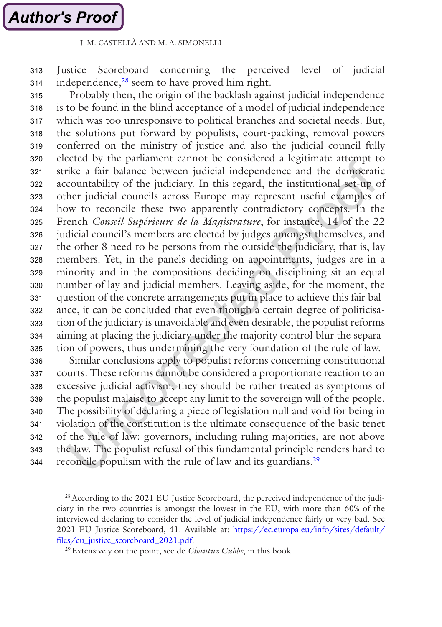Justice Scoreboard concerning the perceived level of judicial independence,<sup>28</sup> seem to have proved him right. 313 314

Probably then, the origin of the backlash against judicial independence is to be found in the blind acceptance of a model of judicial independence which was too unresponsive to political branches and societal needs. But, the solutions put forward by populists, court-packing, removal powers conferred on the ministry of justice and also the judicial council fully elected by the parliament cannot be considered a legitimate attempt to strike a fair balance between judicial independence and the democratic accountability of the judiciary. In this regard, the institutional set-up of other judicial councils across Europe may represent useful examples of how to reconcile these two apparently contradictory concepts. In the French *Conseil Supérieure de la Magistrature*, for instance, 14 of the 22 judicial council's members are elected by judges amongst themselves, and the other 8 need to be persons from the outside the judiciary, that is, lay members. Yet, in the panels deciding on appointments, judges are in a minority and in the compositions deciding on disciplining sit an equal number of lay and judicial members. Leaving aside, for the moment, the question of the concrete arrangements put in place to achieve this fair balance, it can be concluded that even though a certain degree of politicisation of the judiciary is unavoidable and even desirable, the populist reforms aiming at placing the judiciary under the majority control blur the separation of powers, thus undermining the very foundation of the rule of law. 315 316 317 318 319 320 321 322 323 324 325 326 327 328 329 330 331 332 333 334 335

Similar conclusions apply to populist reforms concerning constitutional courts. These reforms cannot be considered a proportionate reaction to an excessive judicial activism; they should be rather treated as symptoms of the populist malaise to accept any limit to the sovereign will of the people. The possibility of declaring a piece of legislation null and void for being in violation of the constitution is the ultimate consequence of the basic tenet of the rule of law: governors, including ruling majorities, are not above the law. The populist refusal of this fundamental principle renders hard to reconcile populism with the rule of law and its guardians.<sup>29</sup> 336 337 338 339 340 341 342 343 344

<sup>&</sup>lt;sup>28</sup> According to the 2021 EU Justice Scoreboard, the perceived independence of the judiciary in the two countries is amongst the lowest in the EU, with more than 60% of the interviewed declaring to consider the level of judicial independence fairly or very bad. See 2021 EU Justice Scoreboard, 41. Available at: [https://ec.europa.eu/info/sites/default/](https://ec.europa.eu/info/sites/default/files/eu_justice_scoreboard_2021.pdf) [files/eu\\_justice\\_scoreboard\\_2021.pdf](https://ec.europa.eu/info/sites/default/files/eu_justice_scoreboard_2021.pdf).

<sup>29</sup>Extensively on the point, see de *Ghantuz Cubbe*, in this book.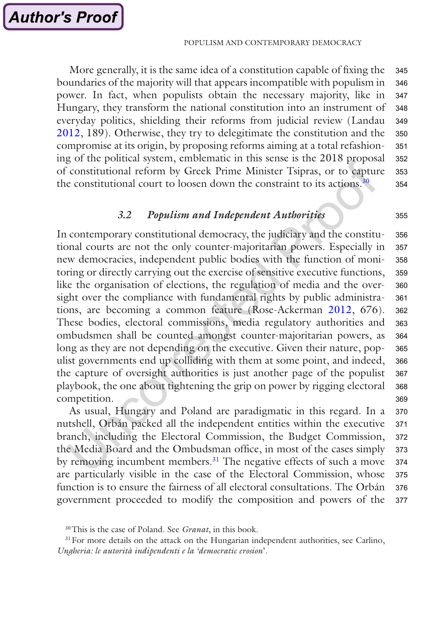More generally, it is the same idea of a constitution capable of fixing the boundaries of the majority will that appears incompatible with populism in power. In fact, when populists obtain the necessary majority, like in Hungary, they transform the national constitution into an instrument of everyday politics, shielding their reforms from judicial review (Landau [2012](#page-21-0), 189). Otherwise, they try to delegitimate the constitution and the compromise at its origin, by proposing reforms aiming at a total refashioning of the political system, emblematic in this sense is the 2018 proposal of constitutional reform by Greek Prime Minister Tsipras, or to capture the constitutional court to loosen down the constraint to its actions.<sup>30</sup> 345 346 347 348 349 350 351 352 353 354

## *3.2 Populism and Independent Authorities*

In contemporary constitutional democracy, the judiciary and the constitutional courts are not the only counter-majoritarian powers. Especially in new democracies, independent public bodies with the function of monitoring or directly carrying out the exercise of sensitive executive functions, like the organisation of elections, the regulation of media and the oversight over the compliance with fundamental rights by public administrations, are becoming a common feature (Rose-Ackerman [2012](#page-21-0), 676). These bodies, electoral commissions, media regulatory authorities and ombudsmen shall be counted amongst counter-majoritarian powers, as long as they are not depending on the executive. Given their nature, populist governments end up colliding with them at some point, and indeed, the capture of oversight authorities is just another page of the populist playbook, the one about tightening the grip on power by rigging electoral competition. 356 357 358 359 360 361 362 363 364 365 366 367 368 369

As usual, Hungary and Poland are paradigmatic in this regard. In a nutshell, Orbán packed all the independent entities within the executive branch, including the Electoral Commission, the Budget Commission, the Media Board and the Ombudsman office, in most of the cases simply by removing incumbent members.<sup>31</sup> The negative effects of such a move are particularly visible in the case of the Electoral Commission, whose function is to ensure the fairness of all electoral consultations. The Orbán government proceeded to modify the composition and powers of the 370 371 372 373 374 375 376 377

355

<sup>30</sup>This is the case of Poland. See *Granat*, in this book.

<sup>&</sup>lt;sup>31</sup> For more details on the attack on the Hungarian independent authorities, see Carlino, *Ungheria: le autorità indipendenti e la 'democratic erosion*'.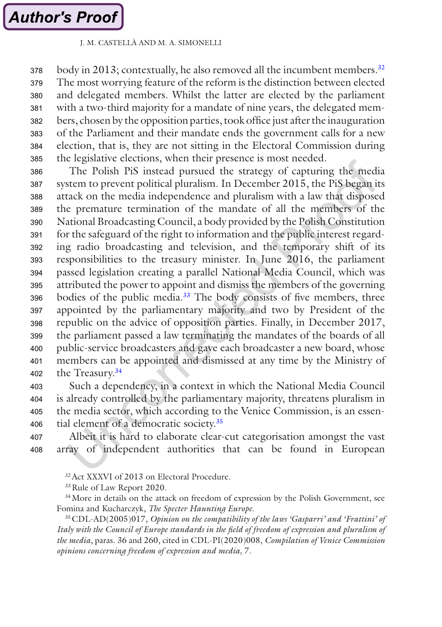body in 2013; contextually, he also removed all the incumbent members.<sup>32</sup> The most worrying feature of the reform is the distinction between elected and delegated members. Whilst the latter are elected by the parliament with a two-third majority for a mandate of nine years, the delegated members, chosen by the opposition parties, took office just after the inauguration of the Parliament and their mandate ends the government calls for a new election, that is, they are not sitting in the Electoral Commission during the legislative elections, when their presence is most needed. 378 379 380 381 382 383 384 385

The Polish PiS instead pursued the strategy of capturing the media system to prevent political pluralism. In December 2015, the PiS began its attack on the media independence and pluralism with a law that disposed the premature termination of the mandate of all the members of the National Broadcasting Council, a body provided by the Polish Constitution for the safeguard of the right to information and the public interest regarding radio broadcasting and television, and the temporary shift of its responsibilities to the treasury minister. In June 2016, the parliament passed legislation creating a parallel National Media Council, which was attributed the power to appoint and dismiss the members of the governing bodies of the public media.<sup>33</sup> The body consists of five members, three appointed by the parliamentary majority and two by President of the republic on the advice of opposition parties. Finally, in December 2017, the parliament passed a law terminating the mandates of the boards of all public-service broadcasters and gave each broadcaster a new board, whose members can be appointed and dismissed at any time by the Ministry of the Treasury.34 386 387 388 389 390 391 392 393 394 395 396 397 398 399 400 401 402

Such a dependency, in a context in which the National Media Council is already controlled by the parliamentary majority, threatens pluralism in the media sector, which according to the Venice Commission, is an essential element of a democratic society.35 403 404 405 406

Albeit it is hard to elaborate clear-cut categorisation amongst the vast array of independent authorities that can be found in European 407 408

32Act XXXVI of 2013 on Electoral Procedure.

<sup>33</sup>Rule of Law Report 2020.

<sup>34</sup>More in details on the attack on freedom of expression by the Polish Government, see Fomina and Kucharczyk, *The Specter Haunting Europe.*

35CDL-AD(2005)017, *Opinion on the compatibility of the laws 'Gasparri' and 'Frattini' of Italy with the Council of Europe standards in the field of freedom of expression and pluralism of the media*, paras. 36 and 260, cited in CDL-PI(2020)008, *Compilation of Venice Commission opinions concerning freedom of expression and media,* 7*.*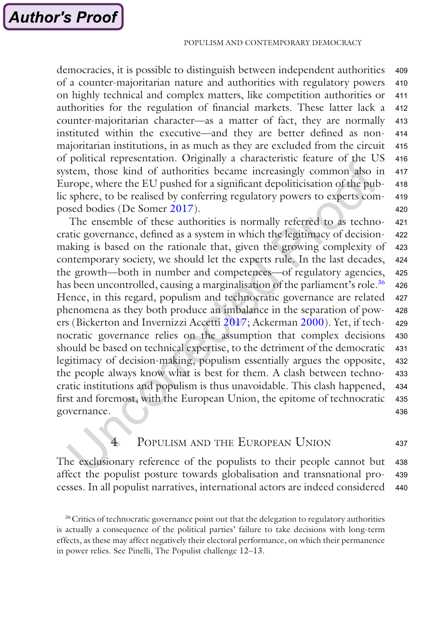democracies, it is possible to distinguish between independent authorities of a counter-majoritarian nature and authorities with regulatory powers on highly technical and complex matters, like competition authorities or authorities for the regulation of financial markets. These latter lack a counter-majoritarian character—as a matter of fact, they are normally instituted within the executive—and they are better defined as nonmajoritarian institutions, in as much as they are excluded from the circuit of political representation. Originally a characteristic feature of the US system, those kind of authorities became increasingly common also in Europe, where the EU pushed for a significant depoliticisation of the public sphere, to be realised by conferring regulatory powers to experts composed bodies (De Somer [2017\)](#page-20-0). 409 410 411 412 413 414 415 416 417 418 419 420

The ensemble of these authorities is normally referred to as technocratic governance, defined as a system in which the legitimacy of decisionmaking is based on the rationale that, given the growing complexity of contemporary society, we should let the experts rule. In the last decades, the growth—both in number and competences—of regulatory agencies, has been uncontrolled, causing a marginalisation of the parliament's role.<sup>36</sup> Hence, in this regard, populism and technocratic governance are related phenomena as they both produce an imbalance in the separation of powers (Bickerton and Invernizzi Accetti [2017;](#page-20-0) Ackerman [2000\)](#page-20-0). Yet, if technocratic governance relies on the assumption that complex decisions should be based on technical expertise, to the detriment of the democratic legitimacy of decision-making, populism essentially argues the opposite, the people always know what is best for them. A clash between technocratic institutions and populism is thus unavoidable. This clash happened, first and foremost, with the European Union, the epitome of technocratic governance. 421 422 423 424 425 426 427 428 429 430 431 432 433 434 435 436

#### POPULISM AND THE EUROPEAN UNION 437

The exclusionary reference of the populists to their people cannot but affect the populist posture towards globalisation and transnational processes. In all populist narratives, international actors are indeed considered 438 439 440

<sup>&</sup>lt;sup>36</sup>Critics of technocratic governance point out that the delegation to regulatory authorities is actually a consequence of the political parties' failure to take decisions with long-term effects, as these may affect negatively their electoral performance, on which their permanence in power relies. See Pinelli, The Populist challenge 12–13.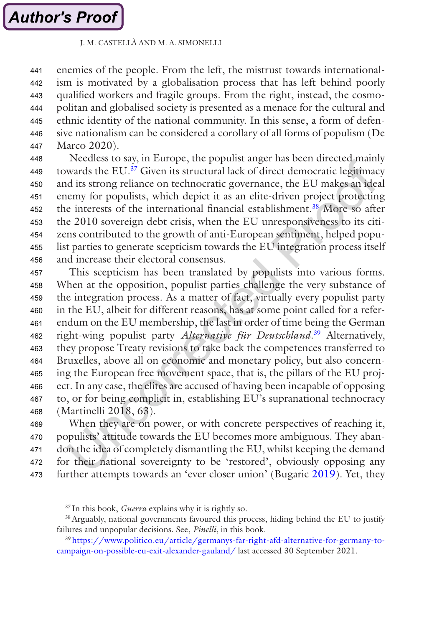enemies of the people. From the left, the mistrust towards internationalism is motivated by a globalisation process that has left behind poorly qualified workers and fragile groups. From the right, instead, the cosmopolitan and globalised society is presented as a menace for the cultural and ethnic identity of the national community. In this sense, a form of defensive nationalism can be considered a corollary of all forms of populism (De Marco 2020). 441 442 443 444 445 446 447

Needless to say, in Europe, the populist anger has been directed mainly towards the EU.37 Given its structural lack of direct democratic legitimacy and its strong reliance on technocratic governance, the EU makes an ideal enemy for populists, which depict it as an elite-driven project protecting the interests of the international financial establishment.<sup>38</sup> More so after the 2010 sovereign debt crisis, when the EU unresponsiveness to its citizens contributed to the growth of anti-European sentiment, helped populist parties to generate scepticism towards the EU integration process itself and increase their electoral consensus. 448 449 450 451 452 453 454 455 456

This scepticism has been translated by populists into various forms. When at the opposition, populist parties challenge the very substance of the integration process. As a matter of fact, virtually every populist party in the EU, albeit for different reasons, has at some point called for a referendum on the EU membership, the last in order of time being the German right-wing populist party *Alternative für Deutschland*. 39 Alternatively, they propose Treaty revisions to take back the competences transferred to Bruxelles, above all on economic and monetary policy, but also concerning the European free movement space, that is, the pillars of the EU project. In any case, the elites are accused of having been incapable of opposing to, or for being complicit in, establishing EU's supranational technocracy (Martinelli 2018, 63). 457 458 459 460 461 462 463 464 465 466 467 468

When they are on power, or with concrete perspectives of reaching it, populists' attitude towards the EU becomes more ambiguous. They abandon the idea of completely dismantling the EU, whilst keeping the demand for their national sovereignty to be 'restored', obviously opposing any further attempts towards an 'ever closer union' (Bugaric [2019\)](#page-20-0). Yet, they 469 470 471 472 473

<sup>39</sup> [https://www.politico.eu/article/germanys-far-right-afd-alternative-for-germany-to](https://www.politico.eu/article/germanys-far-right-afd-alternative-for-germany-to-campaign-on-possible-eu-exit-alexander-gauland/)[campaign-on-possible-eu-exit-alexander-gauland/](https://www.politico.eu/article/germanys-far-right-afd-alternative-for-germany-to-campaign-on-possible-eu-exit-alexander-gauland/) last accessed 30 September 2021.

<sup>37</sup> In this book, *Guerra* explains why it is rightly so.

<sup>38</sup>Arguably, national governments favoured this process, hiding behind the EU to justify failures and unpopular decisions. See, *Pinelli*, in this book.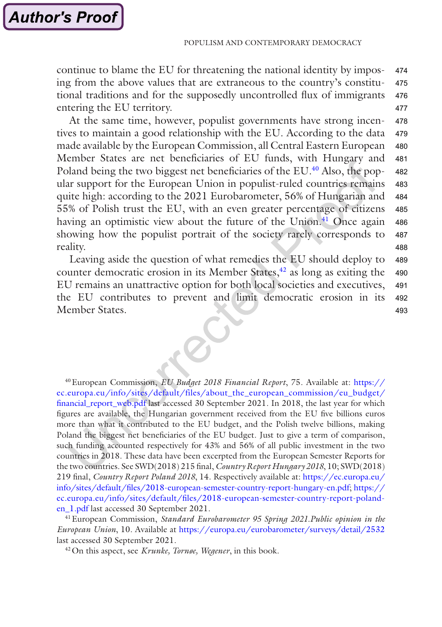continue to blame the EU for threatening the national identity by imposing from the above values that are extraneous to the country's constitutional traditions and for the supposedly uncontrolled flux of immigrants entering the EU territory. 474 475 476 477

At the same time, however, populist governments have strong incentives to maintain a good relationship with the EU. According to the data made available by the European Commission, all Central Eastern European Member States are net beneficiaries of EU funds, with Hungary and Poland being the two biggest net beneficiaries of the EU.<sup>40</sup> Also, the popular support for the European Union in populist-ruled countries remains quite high: according to the 2021 Eurobarometer, 56% of Hungarian and 55% of Polish trust the EU, with an even greater percentage of citizens having an optimistic view about the future of the Union.<sup>41</sup> Once again showing how the populist portrait of the society rarely corresponds to reality. 478 479 480 481 482 483 484 485 486 487 488

Leaving aside the question of what remedies the EU should deploy to counter democratic erosion in its Member States, $42$  as long as exiting the EU remains an unattractive option for both local societies and executives, the EU contributes to prevent and limit democratic erosion in its Member States. 489 490 491 492 493

40European Commission, *EU Budget 2018 Financial Report*, 75. Available at: [https://](https://ec.europa.eu/info/sites/default/files/about_the_european_commission/eu_budget/financial_report_web.pdf) [ec.europa.eu/info/sites/default/files/about\\_the\\_european\\_commission/eu\\_budget/](https://ec.europa.eu/info/sites/default/files/about_the_european_commission/eu_budget/financial_report_web.pdf) [financial\\_report\\_web.pdf](https://ec.europa.eu/info/sites/default/files/about_the_european_commission/eu_budget/financial_report_web.pdf) last accessed 30 September 2021. In 2018, the last year for which figures are available, the Hungarian government received from the EU five billions euros more than what it contributed to the EU budget, and the Polish twelve billions, making Poland the biggest net beneficiaries of the EU budget. Just to give a term of comparison, such funding accounted respectively for 43% and 56% of all public investment in the two countries in 2018. These data have been excerpted from the European Semester Reports for the two countries. See SWD(2018) 215 final, *Country Report Hungary 2018*, 10; SWD(2018) 219 final, *Country Report Poland 2018*, 14. Respectively available at: [https://ec.europa.eu/](https://ec.europa.eu/info/sites/default/files/2018-european-semester-country-report-hungary-en.pdf) [info/sites/default/files/2018-european-semester-country-report-hungary-en.pdf;](https://ec.europa.eu/info/sites/default/files/2018-european-semester-country-report-hungary-en.pdf) [https://](https://ec.europa.eu/info/sites/default/files/2018-european-semester-country-report-poland-en_1.pdf) [ec.europa.eu/info/sites/default/files/2018-european-semester-country-report-poland](https://ec.europa.eu/info/sites/default/files/2018-european-semester-country-report-poland-en_1.pdf)[en\\_1.pdf](https://ec.europa.eu/info/sites/default/files/2018-european-semester-country-report-poland-en_1.pdf) last accessed 30 September 2021.

41European Commission, *Standard Eurobarometer 95 Spring 2021.Public opinion in the European Union*, 10. Available at <https://europa.eu/eurobarometer/surveys/detail/2532> last accessed 30 September 2021.

42On this aspect, see *Krunke, Tornøe, Wegener*, in this book.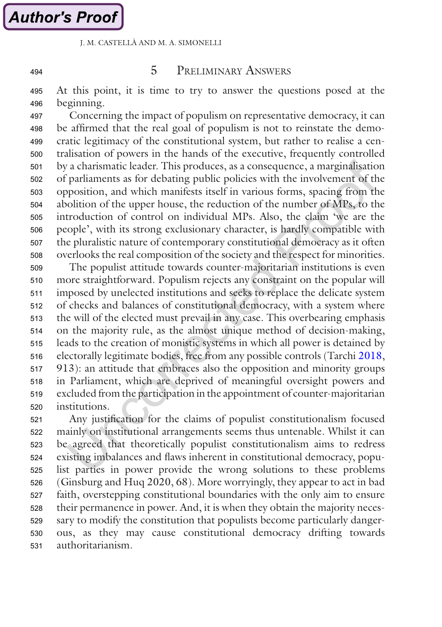494

## 5 Preliminary Answers

At this point, it is time to try to answer the questions posed at the beginning. 495 496

Concerning the impact of populism on representative democracy, it can be affirmed that the real goal of populism is not to reinstate the democratic legitimacy of the constitutional system, but rather to realise a centralisation of powers in the hands of the executive, frequently controlled by a charismatic leader. This produces, as a consequence, a marginalisation of parliaments as for debating public policies with the involvement of the opposition, and which manifests itself in various forms, spacing from the abolition of the upper house, the reduction of the number of MPs, to the introduction of control on individual MPs. Also, the claim 'we are the people', with its strong exclusionary character, is hardly compatible with the pluralistic nature of contemporary constitutional democracy as it often overlooks the real composition of the society and the respect for minorities. 497 498 499 500 501 502 503 504 505 506 507 508

The populist attitude towards counter-majoritarian institutions is even more straightforward. Populism rejects any constraint on the popular will imposed by unelected institutions and seeks to replace the delicate system of checks and balances of constitutional democracy, with a system where the will of the elected must prevail in any case. This overbearing emphasis on the majority rule, as the almost unique method of decision-making, leads to the creation of monistic systems in which all power is detained by electorally legitimate bodies, free from any possible controls (Tarchi [2018,](#page-21-0) 913): an attitude that embraces also the opposition and minority groups in Parliament, which are deprived of meaningful oversight powers and excluded from the participation in the appointment of counter-majoritarian institutions. 509 510 511 512 513 514 515 516 517 518 519 520

Any justification for the claims of populist constitutionalism focused mainly on institutional arrangements seems thus untenable. Whilst it can be agreed that theoretically populist constitutionalism aims to redress existing imbalances and flaws inherent in constitutional democracy, populist parties in power provide the wrong solutions to these problems (Ginsburg and Huq 2020, 68). More worryingly, they appear to act in bad faith, overstepping constitutional boundaries with the only aim to ensure their permanence in power. And, it is when they obtain the majority necessary to modify the constitution that populists become particularly dangerous, as they may cause constitutional democracy drifting towards authoritarianism. 521 522 523 524 525 526 527 528 529 530 531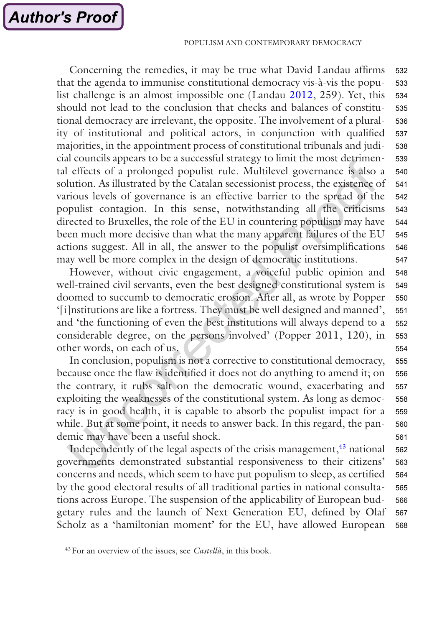Concerning the remedies, it may be true what David Landau affirms that the agenda to immunise constitutional democracy vis-à-vis the populist challenge is an almost impossible one (Landau [2012](#page-21-0), 259). Yet, this should not lead to the conclusion that checks and balances of constitutional democracy are irrelevant, the opposite. The involvement of a plurality of institutional and political actors, in conjunction with qualified majorities, in the appointment process of constitutional tribunals and judicial councils appears to be a successful strategy to limit the most detrimental effects of a prolonged populist rule. Multilevel governance is also a solution. As illustrated by the Catalan secessionist process, the existence of various levels of governance is an effective barrier to the spread of the populist contagion. In this sense, notwithstanding all the criticisms directed to Bruxelles, the role of the EU in countering populism may have been much more decisive than what the many apparent failures of the EU actions suggest. All in all, the answer to the populist oversimplifications may well be more complex in the design of democratic institutions. 532 533 534 535 536 537 538 539 540 541 542 543 544 545 546 547

However, without civic engagement, a voiceful public opinion and well-trained civil servants, even the best designed constitutional system is doomed to succumb to democratic erosion. After all, as wrote by Popper '[i]nstitutions are like a fortress. They must be well designed and manned', and 'the functioning of even the best institutions will always depend to a considerable degree, on the persons involved' (Popper 2011, 120), in other words, on each of us. 548 549 550 551 552 553 554

In conclusion, populism is not a corrective to constitutional democracy, because once the flaw is identified it does not do anything to amend it; on the contrary, it rubs salt on the democratic wound, exacerbating and exploiting the weaknesses of the constitutional system. As long as democracy is in good health, it is capable to absorb the populist impact for a while. But at some point, it needs to answer back. In this regard, the pandemic may have been a useful shock. 555 556 557 558 559 560 561

Independently of the legal aspects of the crisis management, $43$  national governments demonstrated substantial responsiveness to their citizens' concerns and needs, which seem to have put populism to sleep, as certified by the good electoral results of all traditional parties in national consultations across Europe. The suspension of the applicability of European budgetary rules and the launch of Next Generation EU, defined by Olaf Scholz as a 'hamiltonian moment' for the EU, have allowed European 562 563 564 565 566 567 568

<sup>43</sup>For an overview of the issues, see *Castellà*, in this book.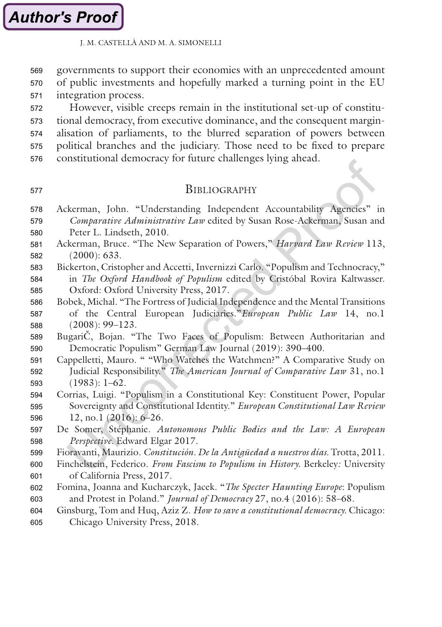<span id="page-20-0"></span>governments to support their economies with an unprecedented amount of public investments and hopefully marked a turning point in the EU integration process. 569 570 571

However, visible creeps remain in the institutional set-up of constitutional democracy, from executive dominance, and the consequent marginalisation of parliaments, to the blurred separation of powers between political branches and the judiciary. Those need to be fixed to prepare constitutional democracy for future challenges lying ahead. 572 573 574 575 576

577

## **BIBLIOGRAPHY**

- Ackerman, John. "Understanding Independent Accountability Agencies" in *Comparative Administrative Law* edited by Susan Rose-Ackerman, Susan and 578 579
- Peter L. Lindseth, 2010. 580
- Ackerman, Bruce. "The New Separation of Powers," *Harvard Law Review* 113, (2000): 633. 581 582
- Bickerton, Cristopher and Accetti, Invernizzi Carlo. "Populism and Technocracy," in *The Oxford Handbook of Populism* edited by Cristóbal Rovira Kaltwasser. Oxford: Oxford University Press, 2017. 583 584 585
- Bobek, Michal. "The Fortress of Judicial Independence and the Mental Transitions of the Central European Judiciaries."*European Public Law* 14, no.1 (2008): 99–123. 586 587 588
- BugariČ, Bojan. "The Two Faces of Populism: Between Authoritarian and Democratic Populism" German Law Journal (2019): 390–400. 589 590
- Cappelletti, Mauro. " "Who Watches the Watchmen?" A Comparative Study on Judicial Responsibility." *The American Journal of Comparative Law* 31, no.1 (1983): 1–62. 591 592 593
- Corrias, Luigi. "Populism in a Constitutional Key: Constituent Power, Popular Sovereignty and Constitutional Identity." *European Constitutional Law Review* 12, no.1 (2016): 6–26. 594 595 596
- De Somer, Stéphanie. *Autonomous Public Bodies and the Law: A European Perspective.* Edward Elgar 2017. 597 598
- Fioravanti, Maurizio. *Constitución. De la Antigüedad a nuestros días.* Trotta, 2011. 599
- Finchelstein, Federico. *From Fascism to Populism in History.* Berkeley*:* University of California Press, 2017. 600 601
- Fomina, Joanna and Kucharczyk, Jacek. "*The Specter Haunting Europe*: Populism and Protest in Poland." *Journal of Democracy* 27, no.4 (2016): 58–68. 602 603
- Ginsburg, Tom and Huq, Aziz Z. *How to save a constitutional democracy.* Chicago: Chicago University Press, 2018. 604 605